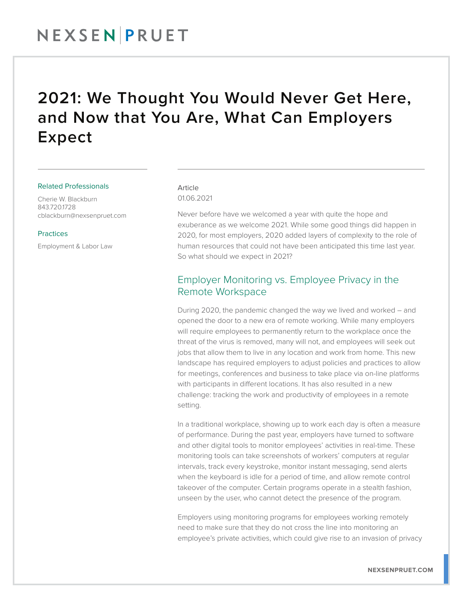### 2021: We Thought You Would Never Get Here, and Now that You Are, What Can Employers Expect

#### Related Professionals

Cherie W. Blackburn 843.720.1728 cblackburn@nexsenpruet.com

#### **Practices**

Employment & Labor Law

#### Article 01.06.2021

Never before have we welcomed a year with quite the hope and exuberance as we welcome 2021. While some good things did happen in 2020, for most employers, 2020 added layers of complexity to the role of human resources that could not have been anticipated this time last year. So what should we expect in 2021?

#### Employer Monitoring vs. Employee Privacy in the Remote Workspace

During 2020, the pandemic changed the way we lived and worked – and opened the door to a new era of remote working. While many employers will require employees to permanently return to the workplace once the threat of the virus is removed, many will not, and employees will seek out jobs that allow them to live in any location and work from home. This new landscape has required employers to adjust policies and practices to allow for meetings, conferences and business to take place via on-line platforms with participants in different locations. It has also resulted in a new challenge: tracking the work and productivity of employees in a remote setting.

In a traditional workplace, showing up to work each day is often a measure of performance. During the past year, employers have turned to software and other digital tools to monitor employees' activities in real-time. These monitoring tools can take screenshots of workers' computers at regular intervals, track every keystroke, monitor instant messaging, send alerts when the keyboard is idle for a period of time, and allow remote control takeover of the computer. Certain programs operate in a stealth fashion, unseen by the user, who cannot detect the presence of the program.

Employers using monitoring programs for employees working remotely need to make sure that they do not cross the line into monitoring an employee's private activities, which could give rise to an invasion of privacy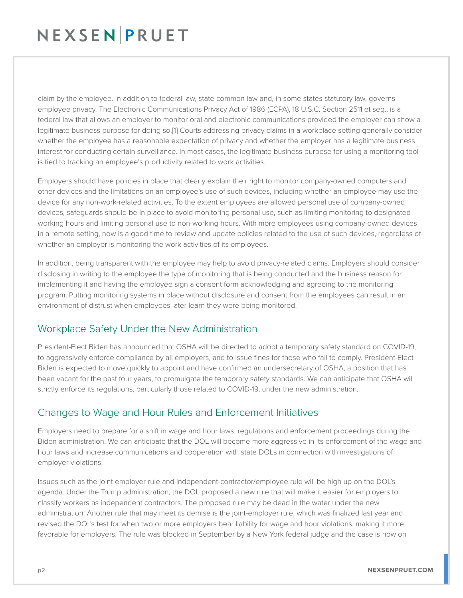claim by the employee. In addition to federal law, state common law and, in some states statutory law, governs employee privacy. The Electronic Communications Privacy Act of 1986 (ECPA), 18 U.S.C. Section 2511 et seq., is a federal law that allows an employer to monitor oral and electronic communications provided the employer can show a legitimate business purpose for doing so.[1] Courts addressing privacy claims in a workplace setting generally consider whether the employee has a reasonable expectation of privacy and whether the employer has a legitimate business interest for conducting certain surveillance. In most cases, the legitimate business purpose for using a monitoring tool is tied to tracking an employee's productivity related to work activities.

Employers should have policies in place that clearly explain their right to monitor company-owned computers and other devices and the limitations on an employee's use of such devices, including whether an employee may use the device for any non-work-related activities. To the extent employees are allowed personal use of company-owned devices, safeguards should be in place to avoid monitoring personal use, such as limiting monitoring to designated working hours and limiting personal use to non-working hours. With more employees using company-owned devices in a remote setting, now is a good time to review and update policies related to the use of such devices, regardless of whether an employer is monitoring the work activities of its employees.

In addition, being transparent with the employee may help to avoid privacy-related claims. Employers should consider disclosing in writing to the employee the type of monitoring that is being conducted and the business reason for implementing it and having the employee sign a consent form acknowledging and agreeing to the monitoring program. Putting monitoring systems in place without disclosure and consent from the employees can result in an environment of distrust when employees later learn they were being monitored.

### Workplace Safety Under the New Administration

President-Elect Biden has announced that OSHA will be directed to adopt a temporary safety standard on COVID-19, to aggressively enforce compliance by all employers, and to issue fines for those who fail to comply. President-Elect Biden is expected to move quickly to appoint and have confirmed an undersecretary of OSHA, a position that has been vacant for the past four years, to promulgate the temporary safety standards. We can anticipate that OSHA will strictly enforce its regulations, particularly those related to COVID-19, under the new administration.

### Changes to Wage and Hour Rules and Enforcement Initiatives

Employers need to prepare for a shift in wage and hour laws, regulations and enforcement proceedings during the Biden administration. We can anticipate that the DOL will become more aggressive in its enforcement of the wage and hour laws and increase communications and cooperation with state DOLs in connection with investigations of employer violations.

Issues such as the joint employer rule and independent-contractor/employee rule will be high up on the DOL's agenda. Under the Trump administration, the DOL proposed a new rule that will make it easier for employers to classify workers as independent contractors. The proposed rule may be dead in the water under the new administration. Another rule that may meet its demise is the joint-employer rule, which was finalized last year and revised the DOL's test for when two or more employers bear liability for wage and hour violations, making it more favorable for employers. The rule was blocked in September by a New York federal judge and the case is now on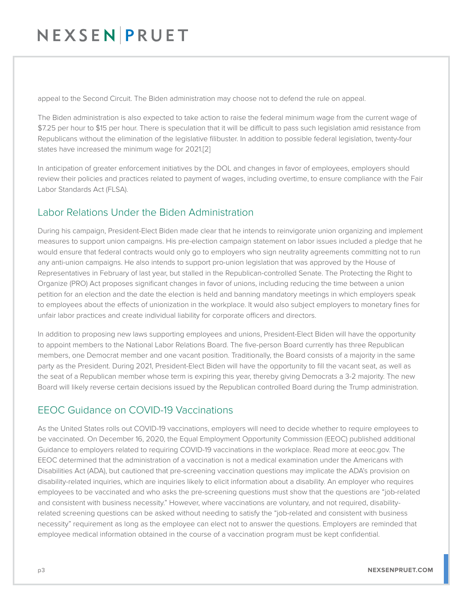appeal to the Second Circuit. The Biden administration may choose not to defend the rule on appeal.

The Biden administration is also expected to take action to raise the federal minimum wage from the current wage of \$7.25 per hour to \$15 per hour. There is speculation that it will be difficult to pass such legislation amid resistance from Republicans without the elimination of the legislative filibuster. In addition to possible federal legislation, twenty-four states have increased the minimum wage for 2021.[2]

In anticipation of greater enforcement initiatives by the DOL and changes in favor of employees, employers should review their policies and practices related to payment of wages, including overtime, to ensure compliance with the Fair Labor Standards Act (FLSA).

### Labor Relations Under the Biden Administration

During his campaign, President-Elect Biden made clear that he intends to reinvigorate union organizing and implement measures to support union campaigns. His pre-election campaign statement on labor issues included a pledge that he would ensure that federal contracts would only go to employers who sign neutrality agreements committing not to run any anti-union campaigns. He also intends to support pro-union legislation that was approved by the House of Representatives in February of last year, but stalled in the Republican-controlled Senate. The Protecting the Right to Organize (PRO) Act proposes significant changes in favor of unions, including reducing the time between a union petition for an election and the date the election is held and banning mandatory meetings in which employers speak to employees about the effects of unionization in the workplace. It would also subject employers to monetary fines for unfair labor practices and create individual liability for corporate officers and directors.

In addition to proposing new laws supporting employees and unions, President-Elect Biden will have the opportunity to appoint members to the National Labor Relations Board. The five-person Board currently has three Republican members, one Democrat member and one vacant position. Traditionally, the Board consists of a majority in the same party as the President. During 2021, President-Elect Biden will have the opportunity to fill the vacant seat, as well as the seat of a Republican member whose term is expiring this year, thereby giving Democrats a 3-2 majority. The new Board will likely reverse certain decisions issued by the Republican controlled Board during the Trump administration.

### EEOC Guidance on COVID-19 Vaccinations

As the United States rolls out COVID-19 vaccinations, employers will need to decide whether to require employees to be vaccinated. On December 16, 2020, the Equal Employment Opportunity Commission (EEOC) published additional Guidance to employers related to requiring COVID-19 vaccinations in the workplace. Read more at eeoc.gov. The EEOC determined that the administration of a vaccination is not a medical examination under the Americans with Disabilities Act (ADA), but cautioned that pre-screening vaccination questions may implicate the ADA's provision on disability-related inquiries, which are inquiries likely to elicit information about a disability. An employer who requires employees to be vaccinated and who asks the pre-screening questions must show that the questions are "job-related and consistent with business necessity." However, where vaccinations are voluntary, and not required, disabilityrelated screening questions can be asked without needing to satisfy the "job-related and consistent with business necessity" requirement as long as the employee can elect not to answer the questions. Employers are reminded that employee medical information obtained in the course of a vaccination program must be kept confidential.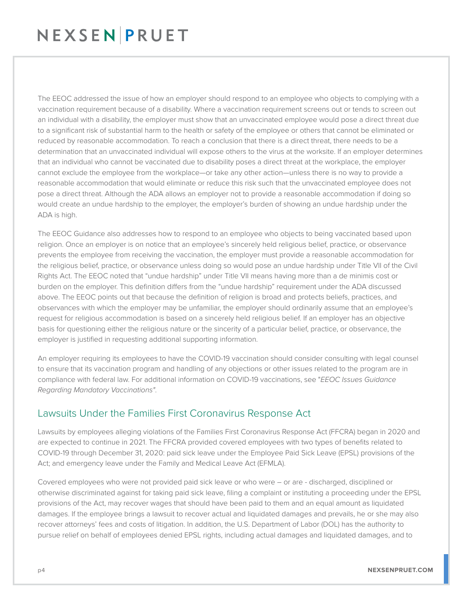The EEOC addressed the issue of how an employer should respond to an employee who objects to complying with a vaccination requirement because of a disability. Where a vaccination requirement screens out or tends to screen out an individual with a disability, the employer must show that an unvaccinated employee would pose a direct threat due to a significant risk of substantial harm to the health or safety of the employee or others that cannot be eliminated or reduced by reasonable accommodation. To reach a conclusion that there is a direct threat, there needs to be a determination that an unvaccinated individual will expose others to the virus at the worksite. If an employer determines that an individual who cannot be vaccinated due to disability poses a direct threat at the workplace, the employer cannot exclude the employee from the workplace—or take any other action—unless there is no way to provide a reasonable accommodation that would eliminate or reduce this risk such that the unvaccinated employee does not pose a direct threat. Although the ADA allows an employer not to provide a reasonable accommodation if doing so would create an undue hardship to the employer, the employer's burden of showing an undue hardship under the ADA is high.

The EEOC Guidance also addresses how to respond to an employee who objects to being vaccinated based upon religion. Once an employer is on notice that an employee's sincerely held religious belief, practice, or observance prevents the employee from receiving the vaccination, the employer must provide a reasonable accommodation for the religious belief, practice, or observance unless doing so would pose an undue hardship under Title VII of the Civil Rights Act. The EEOC noted that "undue hardship" under Title VII means having more than a de minimis cost or burden on the employer. This definition differs from the "undue hardship" requirement under the ADA discussed above. The EEOC points out that because the definition of religion is broad and protects beliefs, practices, and observances with which the employer may be unfamiliar, the employer should ordinarily assume that an employee's request for religious accommodation is based on a sincerely held religious belief. If an employer has an objective basis for questioning either the religious nature or the sincerity of a particular belief, practice, or observance, the employer is justified in requesting additional supporting information.

An employer requiring its employees to have the COVID-19 vaccination should consider consulting with legal counsel to ensure that its vaccination program and handling of any objections or other issues related to the program are in compliance with federal law. For additional information on COVID-19 vaccinations, see "*EEOC Issues Guidance Regarding Mandatory Vaccinations"*.

### Lawsuits Under the Families First Coronavirus Response Act

Lawsuits by employees alleging violations of the Families First Coronavirus Response Act (FFCRA) began in 2020 and are expected to continue in 2021. The FFCRA provided covered employees with two types of benefits related to COVID-19 through December 31, 2020: paid sick leave under the Employee Paid Sick Leave (EPSL) provisions of the Act; and emergency leave under the Family and Medical Leave Act (EFMLA).

Covered employees who were not provided paid sick leave or who were – or are - discharged, disciplined or otherwise discriminated against for taking paid sick leave, filing a complaint or instituting a proceeding under the EPSL provisions of the Act, may recover wages that should have been paid to them and an equal amount as liquidated damages. If the employee brings a lawsuit to recover actual and liquidated damages and prevails, he or she may also recover attorneys' fees and costs of litigation. In addition, the U.S. Department of Labor (DOL) has the authority to pursue relief on behalf of employees denied EPSL rights, including actual damages and liquidated damages, and to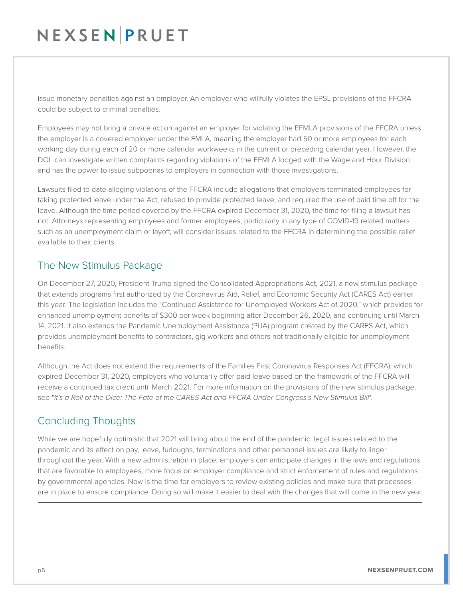issue monetary penalties against an employer. An employer who willfully violates the EPSL provisions of the FFCRA could be subject to criminal penalties.

Employees may not bring a private action against an employer for violating the EFMLA provisions of the FFCRA unless the employer is a covered employer under the FMLA, meaning the employer had 50 or more employees for each working day during each of 20 or more calendar workweeks in the current or preceding calendar year. However, the DOL can investigate written complaints regarding violations of the EFMLA lodged with the Wage and Hour Division and has the power to issue subpoenas to employers in connection with those investigations.

Lawsuits filed to date alleging violations of the FFCRA include allegations that employers terminated employees for taking protected leave under the Act, refused to provide protected leave, and required the use of paid time off for the leave. Although the time period covered by the FFCRA expired December 31, 2020, the time for filing a lawsuit has not. Attorneys representing employees and former employees, particularly in any type of COVID-19 related matters such as an unemployment claim or layoff, will consider issues related to the FFCRA in determining the possible relief available to their clients.

#### The New Stimulus Package

On December 27, 2020, President Trump signed the Consolidated Appropriations Act, 2021, a new stimulus package that extends programs first authorized by the Coronavirus Aid, Relief, and Economic Security Act (CARES Act) earlier this year. The legislation includes the "Continued Assistance for Unemployed Workers Act of 2020," which provides for enhanced unemployment benefits of \$300 per week beginning after December 26, 2020, and continuing until March 14, 2021. It also extends the Pandemic Unemployment Assistance (PUA) program created by the CARES Act, which provides unemployment benefits to contractors, gig workers and others not traditionally eligible for unemployment benefits.

Although the Act does not extend the requirements of the Families First Coronavirus Responses Act (FFCRA), which expired December 31, 2020, employers who voluntarily offer paid leave based on the framework of the FFCRA will receive a continued tax credit until March 2021. For more information on the provisions of the new stimulus package, see "*It's a Roll of the Dice: The Fate of the CARES Act and FFCRA Under Congress's New Stimulus Bill*".

### Concluding Thoughts

While we are hopefully optimistic that 2021 will bring about the end of the pandemic, legal issues related to the pandemic and its effect on pay, leave, furloughs, terminations and other personnel issues are likely to linger throughout the year. With a new administration in place, employers can anticipate changes in the laws and regulations that are favorable to employees, more focus on employer compliance and strict enforcement of rules and regulations by governmental agencies. Now is the time for employers to review existing policies and make sure that processes are in place to ensure compliance. Doing so will make it easier to deal with the changes that will come in the new year.  $\overline{a}$